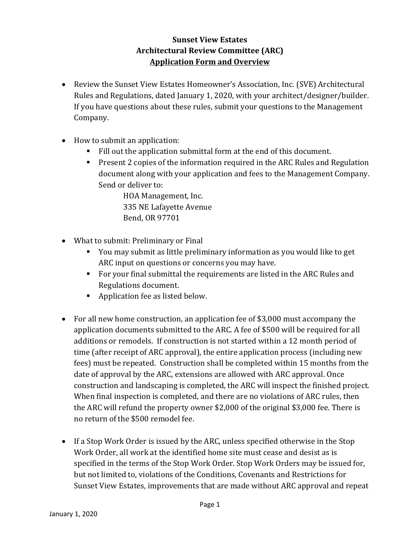## **Sunset View Estates Architectural Review Committee (ARC) Application Form and Overview**

- Review the Sunset View Estates Homeowner's Association, Inc. (SVE) Architectural Rules and Regulations, dated January 1, 2020, with your architect/designer/builder. If you have questions about these rules, submit your questions to the Management Company.
- How to submit an application:
	- Fill out the application submittal form at the end of this document.
	- Present 2 copies of the information required in the ARC Rules and Regulation document along with your application and fees to the Management Company. Send or deliver to:

HOA Management, Inc. 335 NE Lafayette Avenue Bend, OR 97701

- What to submit: Preliminary or Final
	- You may submit as little preliminary information as you would like to get ARC input on questions or concerns you may have.
	- For your final submittal the requirements are listed in the ARC Rules and Regulations document.
	- Application fee as listed below.
- For all new home construction, an application fee of \$3,000 must accompany the application documents submitted to the ARC. A fee of \$500 will be required for all additions or remodels. If construction is not started within a 12 month period of time (after receipt of ARC approval), the entire application process (including new fees) must be repeated. Construction shall be completed within 15 months from the date of approval by the ARC, extensions are allowed with ARC approval. Once construction and landscaping is completed, the ARC will inspect the finished project. When final inspection is completed, and there are no violations of ARC rules, then the ARC will refund the property owner \$2,000 of the original \$3,000 fee. There is no return of the \$500 remodel fee.
- If a Stop Work Order is issued by the ARC, unless specified otherwise in the Stop Work Order, all work at the identified home site must cease and desist as is specified in the terms of the Stop Work Order. Stop Work Orders may be issued for, but not limited to, violations of the Conditions, Covenants and Restrictions for Sunset View Estates, improvements that are made without ARC approval and repeat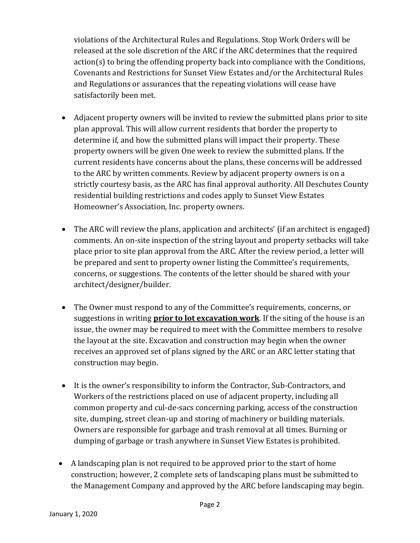violations of the Architectural Rules and Regulations. Stop Work Orders will be released at the sole discretion of the ARC if the ARC determines that the required action(s) to bring the offending property back into compliance with the Conditions, Covenants and Restrictions for Sunset View Estates and/or the Architectural Rules and Regulations or assurances that the repeating violations will cease have satisfactorily been met.

- Adjacent property owners will be invited to review the submitted plans prior to site plan approval. This will allow current residents that border the property to determine if, and how the submitted plans will impact their property. These property owners will be given One week to review the submitted plans. If the current residents have concerns about the plans, these concerns will be addressed to the ARC by written comments. Review by adjacent property owners is on a strictly courtesy basis, as the ARC has final approval authority. All Deschutes County residential building restrictions and codes apply to Sunset View Estates Homeowner's Association, Inc. property owners.
- The ARC will review the plans, application and architects' (if an architect is engaged) comments. An on-site inspection of the string layout and property setbacks will take place prior to site plan approval from the ARC. After the review period, a letter will be prepared and sent to property owner listing the Committee's requirements, concerns, or suggestions. The contents of the letter should be shared with your architect/designer/builder.
- The Owner must respond to any of the Committee's requirements, concerns, or suggestions in writing **prior to lot excavation work**. If the siting of the house is an issue, the owner may be required to meet with the Committee members to resolve the layout at the site. Excavation and construction may begin when the owner receives an approved set of plans signed by the ARC or an ARC letter stating that construction may begin.
- It is the owner's responsibility to inform the Contractor, Sub-Contractors, and Workers of the restrictions placed on use of adjacent property, including all common property and cul-de-sacs concerning parking, access of the construction site, dumping, street clean-up and storing of machinery or building materials. Owners are responsible for garbage and trash removal at all times. Burning or dumping of garbage or trash anywhere in Sunset View Estates is prohibited.
- A landscaping plan is not required to be approved prior to the start of home construction; however, 2 complete sets of landscaping plans must be submitted to the Management Company and approved by the ARC before landscaping may begin.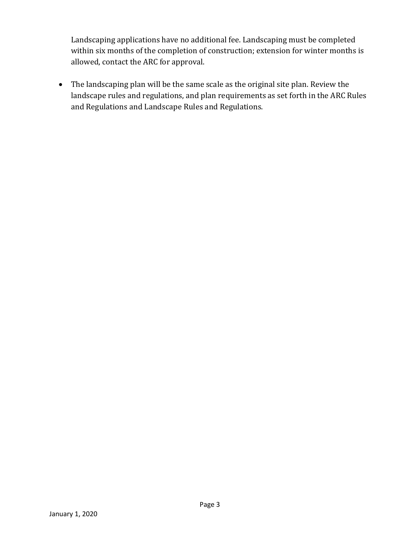Landscaping applications have no additional fee. Landscaping must be completed within six months of the completion of construction; extension for winter months is allowed, contact the ARC for approval.

• The landscaping plan will be the same scale as the original site plan. Review the landscape rules and regulations, and plan requirements as set forth in the ARC Rules and Regulations and Landscape Rules and Regulations.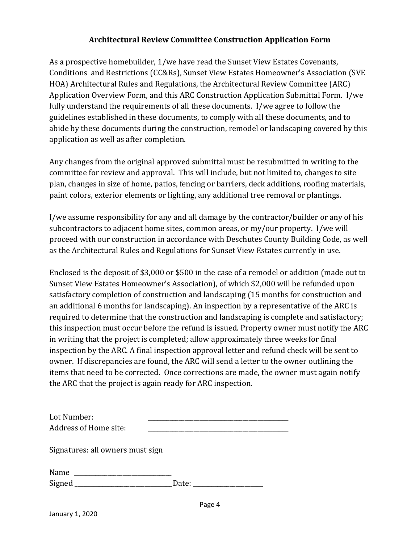## **Architectural Review Committee Construction Application Form**

As a prospective homebuilder, 1/we have read the Sunset View Estates Covenants, Conditions and Restrictions (CC&Rs), Sunset View Estates Homeowner's Association (SVE HOA) Architectural Rules and Regulations, the Architectural Review Committee (ARC) Application Overview Form, and this ARC Construction Application Submittal Form. I/we fully understand the requirements of all these documents. I/we agree to follow the guidelines established in these documents, to comply with all these documents, and to abide by these documents during the construction, remodel or landscaping covered by this application as well as after completion.

Any changes from the original approved submittal must be resubmitted in writing to the committee for review and approval. This will include, but not limited to, changes to site plan, changes in size of home, patios, fencing or barriers, deck additions, roofing materials, paint colors, exterior elements or lighting, any additional tree removal or plantings.

I/we assume responsibility for any and all damage by the contractor/builder or any of his subcontractors to adjacent home sites, common areas, or my/our property. I/we will proceed with our construction in accordance with Deschutes County Building Code, as well as the Architectural Rules and Regulations for Sunset View Estates currently in use.

Enclosed is the deposit of \$3,000 or \$500 in the case of a remodel or addition (made out to Sunset View Estates Homeowner's Association), of which \$2,000 will be refunded upon satisfactory completion of construction and landscaping (15 months for construction and an additional 6 months for landscaping). An inspection by a representative of the ARC is required to determine that the construction and landscaping is complete and satisfactory; this inspection must occur before the refund is issued. Property owner must notify the ARC in writing that the project is completed; allow approximately three weeks for final inspection by the ARC. A final inspection approval letter and refund check will be sent to owner. If discrepancies are found, the ARC will send a letter to the owner outlining the items that need to be corrected. Once corrections are made, the owner must again notify the ARC that the project is again ready for ARC inspection.

| Lot Number:<br>Address of Home site: |       |
|--------------------------------------|-------|
| Signatures: all owners must sign     |       |
| Name                                 | Date: |